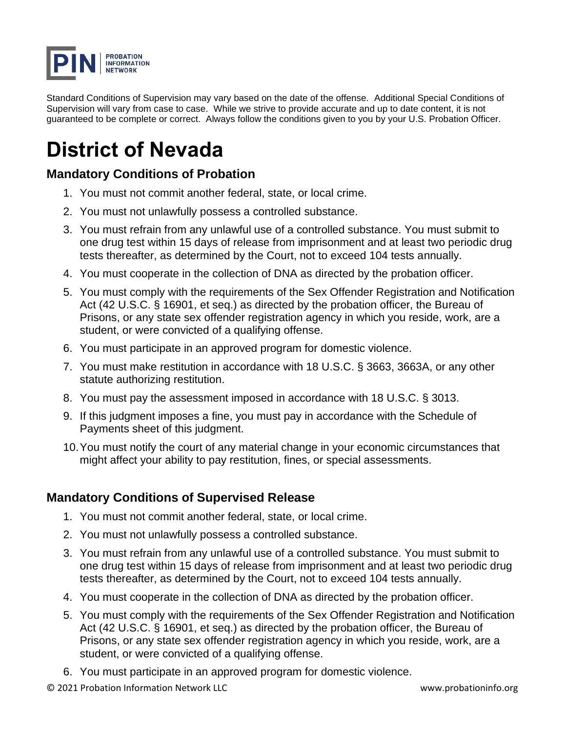

Standard Conditions of Supervision may vary based on the date of the offense. Additional Special Conditions of Supervision will vary from case to case. While we strive to provide accurate and up to date content, it is not guaranteed to be complete or correct. Always follow the conditions given to you by your U.S. Probation Officer.

# **District of Nevada**

## **Mandatory Conditions of Probation**

- 1. You must not commit another federal, state, or local crime.
- 2. You must not unlawfully possess a controlled substance.
- 3. You must refrain from any unlawful use of a controlled substance. You must submit to one drug test within 15 days of release from imprisonment and at least two periodic drug tests thereafter, as determined by the Court, not to exceed 104 tests annually.
- 4. You must cooperate in the collection of DNA as directed by the probation officer.
- 5. You must comply with the requirements of the Sex Offender Registration and Notification Act (42 U.S.C. § 16901, et seq.) as directed by the probation officer, the Bureau of Prisons, or any state sex offender registration agency in which you reside, work, are a student, or were convicted of a qualifying offense.
- 6. You must participate in an approved program for domestic violence.
- 7. You must make restitution in accordance with 18 U.S.C. § 3663, 3663A, or any other statute authorizing restitution.
- 8. You must pay the assessment imposed in accordance with 18 U.S.C. § 3013.
- 9. If this judgment imposes a fine, you must pay in accordance with the Schedule of Payments sheet of this judgment.
- 10.You must notify the court of any material change in your economic circumstances that might affect your ability to pay restitution, fines, or special assessments.

#### **Mandatory Conditions of Supervised Release**

- 1. You must not commit another federal, state, or local crime.
- 2. You must not unlawfully possess a controlled substance.
- 3. You must refrain from any unlawful use of a controlled substance. You must submit to one drug test within 15 days of release from imprisonment and at least two periodic drug tests thereafter, as determined by the Court, not to exceed 104 tests annually.
- 4. You must cooperate in the collection of DNA as directed by the probation officer.
- 5. You must comply with the requirements of the Sex Offender Registration and Notification Act (42 U.S.C. § 16901, et seq.) as directed by the probation officer, the Bureau of Prisons, or any state sex offender registration agency in which you reside, work, are a student, or were convicted of a qualifying offense.
- 6. You must participate in an approved program for domestic violence.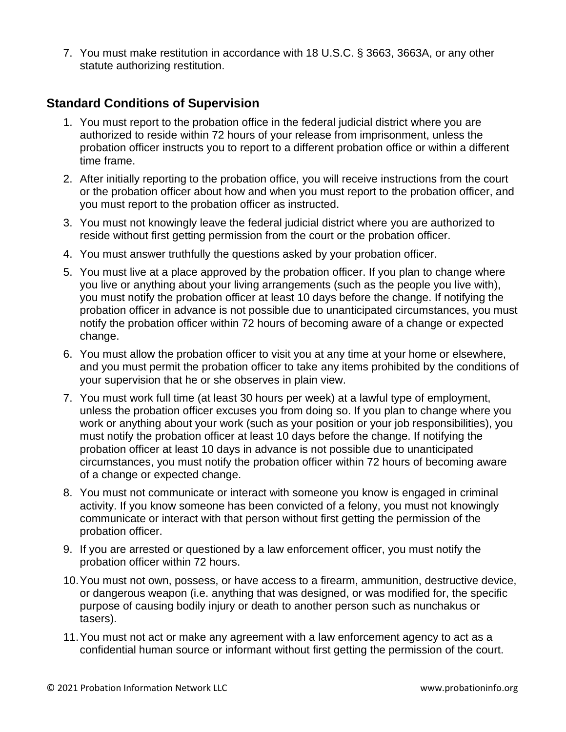7. You must make restitution in accordance with 18 U.S.C. § 3663, 3663A, or any other statute authorizing restitution.

## **Standard Conditions of Supervision**

- 1. You must report to the probation office in the federal judicial district where you are authorized to reside within 72 hours of your release from imprisonment, unless the probation officer instructs you to report to a different probation office or within a different time frame.
- 2. After initially reporting to the probation office, you will receive instructions from the court or the probation officer about how and when you must report to the probation officer, and you must report to the probation officer as instructed.
- 3. You must not knowingly leave the federal judicial district where you are authorized to reside without first getting permission from the court or the probation officer.
- 4. You must answer truthfully the questions asked by your probation officer.
- 5. You must live at a place approved by the probation officer. If you plan to change where you live or anything about your living arrangements (such as the people you live with), you must notify the probation officer at least 10 days before the change. If notifying the probation officer in advance is not possible due to unanticipated circumstances, you must notify the probation officer within 72 hours of becoming aware of a change or expected change.
- 6. You must allow the probation officer to visit you at any time at your home or elsewhere, and you must permit the probation officer to take any items prohibited by the conditions of your supervision that he or she observes in plain view.
- 7. You must work full time (at least 30 hours per week) at a lawful type of employment, unless the probation officer excuses you from doing so. If you plan to change where you work or anything about your work (such as your position or your job responsibilities), you must notify the probation officer at least 10 days before the change. If notifying the probation officer at least 10 days in advance is not possible due to unanticipated circumstances, you must notify the probation officer within 72 hours of becoming aware of a change or expected change.
- 8. You must not communicate or interact with someone you know is engaged in criminal activity. If you know someone has been convicted of a felony, you must not knowingly communicate or interact with that person without first getting the permission of the probation officer.
- 9. If you are arrested or questioned by a law enforcement officer, you must notify the probation officer within 72 hours.
- 10.You must not own, possess, or have access to a firearm, ammunition, destructive device, or dangerous weapon (i.e. anything that was designed, or was modified for, the specific purpose of causing bodily injury or death to another person such as nunchakus or tasers).
- 11.You must not act or make any agreement with a law enforcement agency to act as a confidential human source or informant without first getting the permission of the court.